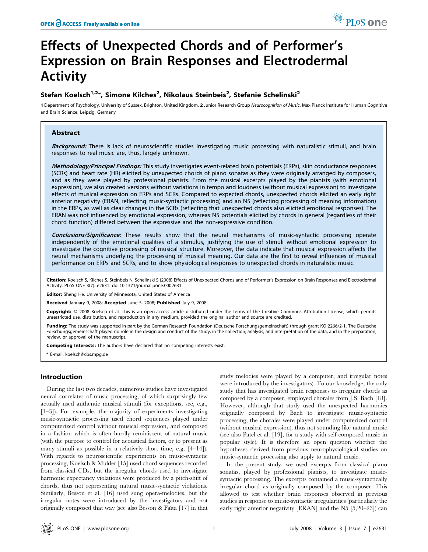# Effects of Unexpected Chords and of Performer's Expression on Brain Responses and Electrodermal Activity

# Stefan Koelsch<sup>1,2\*</sup>, Simone Kilches<sup>2</sup>, Nikolaus Steinbeis<sup>2</sup>, Stefanie Schelinski<sup>2</sup>

1 Department of Psychology, University of Sussex, Brighton, United Kingdom, 2 Junior Research Group Neurocognition of Music, Max Planck Institute for Human Cognitive and Brain Science, Leipzig, Germany

# Abstract

Background: There is lack of neuroscientific studies investigating music processing with naturalistic stimuli, and brain responses to real music are, thus, largely unknown.

Methodology/Principal Findings: This study investigates event-related brain potentials (ERPs), skin conductance responses (SCRs) and heart rate (HR) elicited by unexpected chords of piano sonatas as they were originally arranged by composers, and as they were played by professional pianists. From the musical excerpts played by the pianists (with emotional expression), we also created versions without variations in tempo and loudness (without musical expression) to investigate effects of musical expression on ERPs and SCRs. Compared to expected chords, unexpected chords elicited an early right anterior negativity (ERAN, reflecting music-syntactic processing) and an N5 (reflecting processing of meaning information) in the ERPs, as well as clear changes in the SCRs (reflecting that unexpected chords also elicited emotional responses). The ERAN was not influenced by emotional expression, whereas N5 potentials elicited by chords in general (regardless of their chord function) differed between the expressive and the non-expressive condition.

Conclusions/Significance: These results show that the neural mechanisms of music-syntactic processing operate independently of the emotional qualities of a stimulus, justifying the use of stimuli without emotional expression to investigate the cognitive processing of musical structure. Moreover, the data indicate that musical expression affects the neural mechanisms underlying the processing of musical meaning. Our data are the first to reveal influences of musical performance on ERPs and SCRs, and to show physiological responses to unexpected chords in naturalistic music.

Citation: Koelsch S, Kilches S, Steinbeis N, Schelinski S (2008) Effects of Unexpected Chords and of Performer's Expression on Brain Responses and Electrodermal Activity. PLoS ONE 3(7): e2631. doi:10.1371/journal.pone.0002631

Editor: Sheng He, University of Minnesota, United States of America

Received January 9, 2008; Accepted June 5, 2008; Published July 9, 2008

Copyright: @ 2008 Koelsch et al. This is an open-access article distributed under the terms of the Creative Commons Attribution License, which permits unrestricted use, distribution, and reproduction in any medium, provided the original author and source are credited.

Funding: The study was supported in part by the German Research Foundation (Deutsche Forschungsgemeinschaft) through grant KO 2266/2-1. The Deutsche Forschungsgemeinschaft played no role in the design and conduct of the study, in the collection, analysis, and interpretation of the data, and in the preparation, review, or approval of the manuscript.

Competing Interests: The authors have declared that no competing interests exist.

\* E-mail: koelsch@cbs.mpg.de

# Introduction

During the last two decades, numerous studies have investigated neural correlates of music processing, of which surprisingly few actually used authentic musical stimuli (for exceptions, see, e.g., [1–3]). For example, the majority of experiments investigating music-syntactic processing used chord sequences played under computerized control without musical expression, and composed in a fashion which is often hardly reminiscent of natural music (with the purpose to control for acoustical factors, or to present as many stimuli as possible in a relatively short time, e.g. [4–14]). With regards to neuroscientific experiments on music-syntactic processing, Koelsch & Mulder [15] used chord sequences recorded from classical CDs, but the irregular chords used to investigate harmonic expectancy violations were produced by a pitch-shift of chords, thus not representing natural music-syntactic violations. Similarly, Besson et al. [16] used sung opera-melodies, but the irregular notes were introduced by the investigators and not originally composed that way (see also Besson & Faïta [17] in that

study melodies were played by a computer, and irregular notes were introduced by the investigators). To our knowledge, the only study that has investigated brain responses to irregular chords as composed by a composer, employed chorales from J.S. Bach [18]. However, although that study used the unexpected harmonies originally composed by Bach to investigate music-syntactic processing, the chorales were played under computerized control (without musical expression), thus not sounding like natural music (see also Patel et al. [19], for a study with self-composed music in popular style). It is therefore an open question whether the hypotheses derived from previous neurophysiological studies on music-syntactic processing also apply to natural music.

In the present study, we used excerpts from classical piano sonatas, played by professional pianists, to investigate musicsyntactic processing. The excerpts contained a music-syntactically irregular chord as originally composed by the composer. This allowed to test whether brain responses observed in previous studies in response to music-syntactic irregularities (particularly the early right anterior negativity [ERAN] and the N5 [5,20–23]) can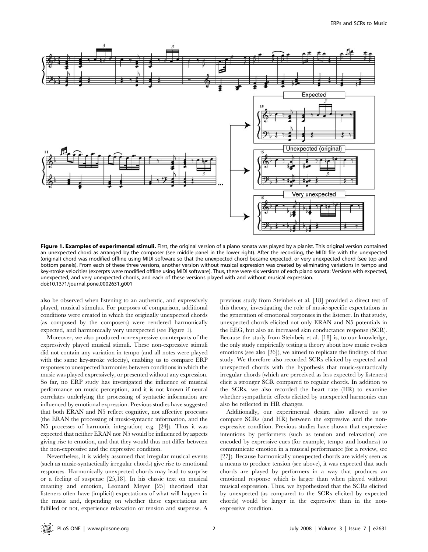

Figure 1. Examples of experimental stimuli. First, the original version of a piano sonata was played by a pianist. This original version contained an unexpected chord as arranged by the composer (see middle panel in the lower right). After the recording, the MIDI file with the unexpected (original) chord was modified offline using MIDI software so that the unexpected chord became expected, or very unexpected chord (see top and bottom panels). From each of these three versions, another version without musical expression was created by eliminating variations in tempo and key-stroke velocities (excerpts were modified offline using MIDI software). Thus, there were six versions of each piano sonata: Versions with expected, unexpected, and very unexpected chords, and each of these versions played with and without musical expression. doi:10.1371/journal.pone.0002631.g001

also be observed when listening to an authentic, and expressively played, musical stimulus. For purposes of comparison, additional conditions were created in which the originally unexpected chords (as composed by the composers) were rendered harmonically expected, and harmonically very unexpected (see Figure 1).

Moreover, we also produced non-expressive counterparts of the expressively played musical stimuli. These non-expressive stimuli did not contain any variation in tempo (and all notes were played with the same key-stroke velocity), enabling us to compare ERP responses to unexpected harmonies between conditions in which the music was played expressively, or presented without any expression. So far, no ERP study has investigated the influence of musical performance on music perception, and it is not known if neural correlates underlying the processing of syntactic information are influenced by emotional expression. Previous studies have suggested that both ERAN and N5 reflect cognitive, not affective processes (the ERAN the processing of music-syntactic information, and the N5 processes of harmonic integration; e.g. [24]). Thus it was expected that neither ERAN nor N5 would be influenced by aspects giving rise to emotion, and that they would thus not differ between the non-expressive and the expressive condition.

Nevertheless, it is widely assumed that irregular musical events (such as music-syntactically irregular chords) give rise to emotional responses. Harmonically unexpected chords may lead to surprise or a feeling of suspense [25,18]. In his classic text on musical meaning and emotion, Leonard Meyer [25] theorized that listeners often have (implicit) expectations of what will happen in the music and, depending on whether these expectations are fulfilled or not, experience relaxation or tension and suspense. A previous study from Steinbeis et al. [18] provided a direct test of this theory, investigating the role of music-specific expectations in the generation of emotional responses in the listener. In that study, unexpected chords elicited not only ERAN and N5 potentials in the EEG, but also an increased skin conductance response (SCR). Because the study from Steinbeis et al. [18] is, to our knowledge, the only study empirically testing a theory about how music evokes emotions (see also [26]), we aimed to replicate the findings of that study. We therefore also recorded SCRs elicited by expected and unexpected chords with the hypothesis that music-syntactically irregular chords (which are perceived as less expected by listeners) elicit a stronger SCR compared to regular chords. In addition to the SCRs, we also recorded the heart rate (HR) to examine whether sympathetic effects elicited by unexpected harmonies can also be reflected in HR changes.

Additionally, our experimental design also allowed us to compare SCRs (and HR) between the expressive and the nonexpressive condition. Previous studies have shown that expressive intentions by performers (such as tension and relaxation) are encoded by expressive cues (for example, tempo and loudness) to communicate emotion in a musical performance (for a review, see [27]). Because harmonically unexpected chords are widely seen as a means to produce tension (see above), it was expected that such chords are played by performers in a way that produces an emotional response which is larger than when played without musical expression. Thus, we hypothesized that the SCRs elicited by unexpected (as compared to the SCRs elicited by expected chords) would be larger in the expressive than in the nonexpressive condition.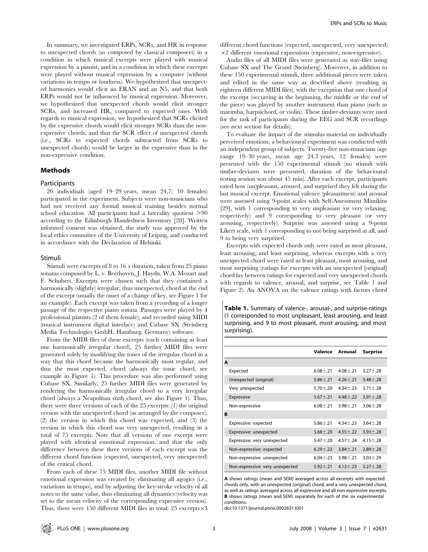In summary, we investigated ERPs, SCRs, and HR in response to unexpected chords (as composed by classical composers) in a condition in which musical excerpts were played with musical expression by a pianist, and in a condition in which these excerpts were played without musical expression by a computer (without variations in tempo or loudness). We hypothesized that unexpected harmonies would elicit an ERAN and an N5, and that both ERPs would not be influenced by musical expression. Moreover, we hypothesized that unexpected chords would elicit stronger SCRs, and increased HR, compared to expected ones. With regards to musical expression, we hypothesized that SCRs elicited by the expressive chords would elicit stronger SCRs than the nonexpressive chords, and that the SCR effect of unexpected chords (i.e., SCRs to expected chords subtracted from SCRs to unexpected chords) would be larger in the expressive than in the non-expressive condition.

# Methods

#### Participants

20 individuals (aged 19–29 years, mean 24,7; 10 females) participated in the experiment. Subjects were non-musicians who had not received any formal musical training besides normal school education. All participants had a laterality quotient  $>90$ according to the Edinburgh Handedness Inventory [28]. Written informed consent was obtained, the study was approved by the local ethics committee of the University of Leipzig, and conducted in accordance with the Declaration of Helsinki.

## Stimuli

Stimuli were excerpts of 8 to 16 s duration, taken from 25 piano sonatas composed by L. v. Beethoven, J. Haydn, W.A. Mozart and F. Schubert. Excerpts were chosen such that they contained a harmonically (slightly) irregular, thus unexpected, chord at the end of the excerpt (usually the onset of a change of key, see Figure 1 for an example). Each excerpt was taken from a recording of a longer passage of the respective piano sonata. Passages were played by 4 professional pianists (2 of them female), and recorded using MIDI (musical instrument digital interface) and Cubase SX (Steinberg Media Technologies GmbH, Hamburg, Germany) software.

From the MIDI files of these excerpts (each containing at least one harmonically irregular chord), 25 further MIDI files were generated solely by modifying the tones of the irregular chord in a way that this chord became the harmonically most regular, and thus the most expected, chord (always the tonic chord, see example in Figure 1). This procedure was also performed using Cubase SX. Similarly, 25 further MIDI files were generated by rendering the harmonically irregular chord to a very irregular chord (always a Neapolitan sixth chord, see also Figure 1). Thus, there were three versions of each of the 25 excerpts: (1) the original version with the unexpected chord (as arranged by the composer), (2) the version in which this chord was expected, and (3) the version in which this chord was very unexpected, resulting in a total of 75 excerpts. Note that all versions of one excerpt were played with identical emotional expression, and that the only difference between these three versions of each excerpt was the different chord function (expected, unexpected, very unexpected) of the critical chord.

From each of these 75 MIDI files, another MIDI file without emotional expression was created by eliminating all agogics (i.e., variations in tempo), and by adjusting the key-stroke velocity of all notes to the same value, thus eliminating all dynamics (velocity was set to the mean velocity of the corresponding expressive version). Thus, there were 150 different MIDI files in total: 25 excerpts $\times3$ 

different chord functions (expected, unexpected, very unexpected)  $\times$ 2 different emotional expressions (expressive, non-expressive).

Audio files of all MIDI files were generated as wav-files using Cubase SX and The Grand (Steinberg). Moreover, in addition to these 150 experimental stimuli, three additional pieces were taken and edited in the same way as described above (resulting in eighteen different MIDI files), with the exception that one chord of the excerpt (occurring in the beginning, the middle or the end of the piece) was played by another instrument than piano (such as marimba, harpsichord, or violin). These timbre-deviants were used for the task of participants during the EEG and SCR recordings (see next section for details).

To evaluate the impact of the stimulus material on individually perceived emotions, a behavioural experiment was conducted with an independent group of subjects. Twenty-five non-musicians (age range 19–30 years, mean age 24.3 years, 12 females) were presented with the 150 experimental stimuli (no stimuli with timbre-deviants were presented, duration of the behavioural testing session was about 45 min). After each excerpt, participants rated how (un)pleasant, aroused, and surprised they felt during the last musical excerpt. Emotional valence (pleasantness) and arousal were assessed using 9-point scales with Self-Assessment Manikins [29], with 1 corresponding to very unpleasant (or very relaxing, respectively) and 9 corresponding to very pleasant (or very arousing, respectively). Surprise was assessed using a 9-point Likert scale, with 1 corresponding to not being surprised at all, and 9 to being very surprised.

Excerpts with expected chords only were rated as most pleasant, least arousing, and least surprising, whereas excerpts with a very unexpected chord were rated as least pleasant, most arousing, and most surprising (ratings for excerpts with an unexpected [original] chord lay between ratings for expected and very unexpected chords with regards to valence, arousal, and surprise, see Table 1 and Figure 2). An ANOVA on the valence ratings with factors chord

Table 1. Summary of valence-, arousal-, and surprise-ratings (1 corresponded to most unpleasant, least arousing, and least surprising, and 9 to most pleasant, most arousing, and most surprising).

|                                 | Valence        | Arousal        | <b>Surprise</b> |
|---------------------------------|----------------|----------------|-----------------|
| A                               |                |                |                 |
| Expected                        | $6.08 \pm .21$ | $4.08 \pm .21$ | $3.27 \pm .28$  |
| Unexpected (original)           | $5.86 + 21$    | $4.26 + 21$    | $3.48 + 28$     |
| Very unexpected                 | $5.70 + 20$    | $4.34 + 23$    | $3.71 + 28$     |
| Expressive                      | $5.67 \pm .21$ | $448 + 22$     | $3.91 \pm .28$  |
| Non-expressive                  | $6.08 \pm .21$ | $3.98 + 21$    | $3.06 \pm .28$  |
| B                               |                |                |                 |
| Expressive: expected            | $5.86 \pm .21$ | $4.34 \pm .23$ | $3.64 \pm .28$  |
| Expressive: unexpected          | $5.68 \pm .20$ | $4.55 \pm .22$ | $3.93 \pm .28$  |
| Expressive: very unexpected     | $5.47 \pm .20$ | $4.57 + 24$    | $4.15 \pm .28$  |
| Non-expressive: expected        | $6.29 \pm .22$ | $3.84 \pm .21$ | $2.89 \pm .28$  |
| Non-expressive: unexpected      | $6.04 \pm .23$ | $3.98 \pm .21$ | $3.03 \pm .29$  |
| Non-expressive: very unexpected | $5.92 \pm .21$ | $4.12 \pm .23$ | $3.27 \pm .28$  |

A shows ratings (mean and SEM) averaged across all excerpts with expected chords only, with an unexpected (original) chord, and a very unexpected chord, as well as ratings averaged across all expressive and all non-expressive excerpts. B shows ratings (mean and SEM) separately for each of the six experimental conditions.

doi:10.1371/journal.pone.0002631.t001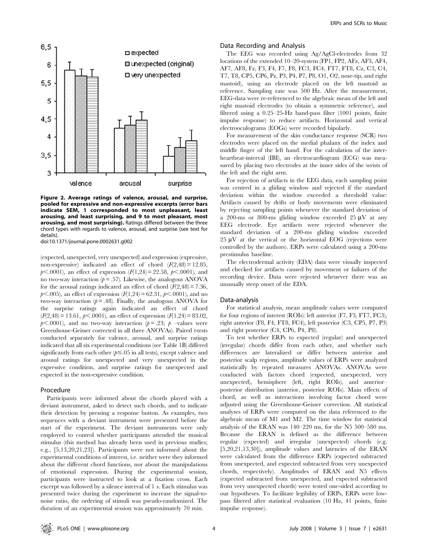

Figure 2. Average ratings of valence, arousal, and surprise, pooled for expressive and non-expressive excerpts (error bars indicate SEM, 1 corresponded to most unpleasant, least arousing, and least surprising, and 9 to most pleasant, most arousing, and most surprising). Ratings differed between the three chord types with regards to valence, arousal, and surprise (see text for details).

doi:10.1371/journal.pone.0002631.g002

(expected, unexpected, very unexpected) and expression (expressive, non-expressive) indicated an effect of chord  $(F(2,48) = 12.85$ ,  $p<.0001$ ), an effect of expression  $(F(1,24) = 22.58, p<.0001)$ , and no two-way interaction ( $p = .57$ ). Likewise, the analogous ANOVA for the arousal ratings indicated an effect of chord  $(F(2,48) = 7.36$ ,  $p<.005$ ), an effect of expression  $(F(1,24) = 62.31, p<.0001)$ , and no two-way interaction  $(p=.48)$ . Finally, the analogous ANOVA for the surprise ratings again indicated an effect of chord  $(F(2,48) = 13.61, p \le 0.0001)$ , an effect of expression  $(F(1,24) = 83.02,$  $p<.0001$ ), and no two-way interaction ( $p= .23$ ; p –values were Greenhouse-Geisser corrected in all three ANOVAs). Paired t-tests conducted separately for valence, arousal, and surprise ratings indicated that all six experimental conditions (see Table 1B) differed significantly from each other  $(p \le 0.05$  in all tests), except valence and arousal ratings for unexpected and very unexpected in the expressive condition, and surprise ratings for unexpected and expected in the non-expressive condition.

# Procedure

Participants were informed about the chords played with a deviant instrument, asked to detect such chords, and to indicate their detection by pressing a response button. As examples, two sequences with a deviant instrument were presented before the start of the experiment. The deviant instruments were only employed to control whether participants attended the musical stimulus (this method has already been used in previous studies; e.g., [5,13,20,21,23]). Participants were not informed about the experimental conditions of interest, i.e. neither were they informed about the different chord functions, nor about the manipulations of emotional expression. During the experimental session, participants were instructed to look at a fixation cross. Each excerpt was followed by a silence interval of 1 s. Each stimulus was presented twice during the experiment to increase the signal-tonoise ratio, the ordering of stimuli was pseudo-randomized. The duration of an experimental session was approximately 70 min.

# Data Recording and Analysis

The EEG was recorded using Ag/AgCl-electrodes from 32 locations of the extended 10–20-system (FP1, FP2, AFz, AF3, AF4, AF7, AF8, Fz, F3, F4, F7, F8, FC3, FC4, FT7, FT8, Cz, C3, C4, T7, T8, CP5, CP6, Pz, P3, P4, P7, P8, O1, O2, nose-tip, and right mastoid), using an electrode placed on the left mastoid as reference. Sampling rate was 500 Hz. After the measurement, EEG-data were re-referenced to the algebraic mean of the left and right mastoid electrodes (to obtain a symmetric reference), and filtered using a 0.25–25-Hz band-pass filter (1001 points, finite impulse response) to reduce artifacts. Horizontal and vertical electrooculograms (EOGs) were recorded bipolarly.

For measurement of the skin conductance response (SCR) two electrodes were placed on the medial phalanx of the index and middle finger of the left hand. For the calculation of the interheartbeat-interval (IBI), an electrocardiogram (ECG) was measured by placing two electrodes at the inner sides of the wrists of the left and the right arm.

For rejection of artifacts in the EEG data, each sampling point was centred in a gliding window and rejected if the standard deviation within the window exceeded a threshold value: Artifacts caused by drifts or body movements were eliminated by rejecting sampling points whenever the standard deviation of a 200-ms or 800-ms gliding window exceeded 25  $\mu$ V at any EEG electrode. Eye artifacts were rejected whenever the standard deviation of a 200-ms gliding window exceeded  $25 \mu V$  at the vertical or the horizontal EOG (rejections were controlled by the authors). ERPs were calculated using a 200-ms prestimulus baseline.

The electrodermal activity (EDA) data were visually inspected and checked for artifacts caused by movement or failures of the recording device. Data were rejected whenever there was an unusually steep onset of the EDA.

# Data-analysis

For statistical analysis, mean amplitude values were computed for four regions of interest (ROIs): left anterior (F7, F3, FT7, FC3), right anterior (F8, F4, FT8, FC4), left posterior (C3, CP5, P7, P3) and right posterior (C4, CP6, P4, P8).

To test whether ERPs to expected (regular) and unexpected (irregular) chords differ from each other, and whether such differences are lateralized or differ between anterior and posterior scalp regions, amplitude values of ERPs were analyzed statistically by repeated measures ANOVAs. ANOVAs were conducted with factors chord (expected, unexpected, very unexpected), hemisphere (left, right ROIs), and anterior– posterior distribution (anterior, posterior ROIs). Main effects of chord, as well as interactions involving factor chord were adjusted using the Greenhouse-Geisser correction. All statistical analyses of ERPs were computed on the data referenced to the algebraic mean of M1 and M2. The time window for statistical analysis of the ERAN was 140–220 ms, for the N5 500–580 ms. Because the ERAN is defined as the difference between regular (expected) and irregular (unexpected) chords (e.g. [5,20,21,13,30]), amplitude values and latencies of the ERAN were calculated from the difference ERPs (expected subtracted from unexpected, and expected subtracted from very unexpected chords, respectively). Amplitudes of ERAN and N5 effects (expected subtracted from unexpected, and expected subtracted from very unexpected chords) were tested one-sided according to our hypotheses. To facilitate legibility of ERPs, ERPs were lowpass filtered after statistical evaluation (10 Hz, 41 points, finite impulse response).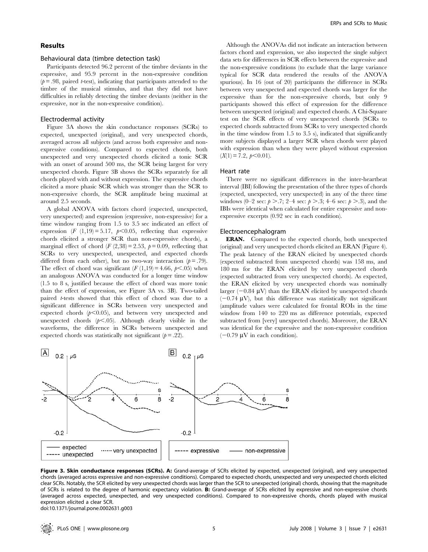# Results

#### Behavioural data (timbre detection task)

Participants detected 96.2 percent of the timbre deviants in the expressive, and 95.9 percent in the non-expressive condition  $(p=.98,$  paired *t*-test), indicating that participants attended to the timbre of the musical stimulus, and that they did not have difficulties in reliably detecting the timbre deviants (neither in the expressive, nor in the non-expressive condition).

#### Electrodermal activity

Figure 3A shows the skin conductance responses (SCRs) to expected, unexpected (original), and very unexpected chords, averaged across all subjects (and across both expressive and nonexpressive conditions). Compared to expected chords, both unexpected and very unexpected chords elicited a tonic SCR with an onset of around 500 ms, the SCR being largest for very unexpected chords. Figure 3B shows the SCRs separately for all chords played with and without expression. The expressive chords elicited a more phasic SCR which was stronger than the SCR to non-expressive chords, the SCR amplitude being maximal at around 2.5 seconds.

A global ANOVA with factors chord (expected, unexpected, very unexpected) and expression (expressive, non-expressive) for a time window ranging from 1.5 to 3.5 sec indicated an effect of expression (F (1,19) = 5.17,  $p<0.05$ , reflecting that expressive chords elicited a stronger SCR than non-expressive chords), a marginal effect of chord (F  $(2,38) = 2.53$ ,  $p = 0.09$ , reflecting that SCRs to very unexpected, unexpected, and expected chords differed from each other), but no two-way interaction  $(p = .79)$ . The effect of chord was significant  $(F(1,19) = 4.66, p<.05)$  when an analogous ANOVA was conducted for a longer time window (1.5 to 8 s, justified because the effect of chord was more tonic than the effect of expression, see Figure 3A vs. 3B). Two-tailed paired t-tests showed that this effect of chord was due to a significant difference in SCRs between very unexpected and expected chords  $(p<0.05)$ , and between very unexpected and unexpected chords  $(p<.05)$ . Although clearly visible in the waveforms, the difference in SCRs between unexpected and expected chords was statistically not significant  $(p = .22)$ .

Although the ANOVAs did not indicate an interaction between factors chord and expression, we also inspected the single subject data sets for differences in SCR effects between the expressive and the non-expressive conditions (to exclude that the large variance typical for SCR data rendered the results of the ANOVA spurious). In 16 (out of 20) participants the difference in SCRs between very unexpected and expected chords was larger for the expressive than for the non-expressive chords, but only 9 participants showed this effect of expression for the difference between unexpected (original) and expected chords. A Chi-Square test on the SCR effects of very unexpected chords (SCRs to expected chords subtracted from SCRs to very unexpected chords in the time window from 1.5 to 3.5 s), indicated that significantly more subjects displayed a larger SCR when chords were played with expression than when they were played without expression  $(X(1) = 7.2, p < 0.01)$ .

# Heart rate

There were no significant differences in the inter-heartbeat interval (IBI) following the presentation of the three types of chords (expected, unexpected, very unexpected) in any of the three time windows (0–2 sec:  $p > .7$ ; 2–4 sec:  $p > .3$ ; 4–6 sec:  $p > .3$ ), and the IBIs were identical when calculated for entire expressive and nonexpressive excerpts (0.92 sec in each condition).

## Electroencephalogram

ERAN. Compared to the expected chords, both unexpected (original) and very unexpected chords elicited an ERAN (Figure 4). The peak latency of the ERAN elicited by unexpected chords (expected subtracted from unexpected chords) was 158 ms, and 180 ms for the ERAN elicited by very unexpected chords (expected subtracted from very unexpected chords). As expected, the ERAN elicited by very unexpected chords was nominally larger  $(-0.84 \text{ } W)$  than the ERAN elicited by unexpected chords  $(-0.74 \text{ }\mu\text{V})$ , but this difference was statistically not significant (amplitude values were calculated for frontal ROIs in the time window from 140 to 220 ms as difference potentials, expected subtracted from [very] unexpected chords). Moreover, the ERAN was identical for the expressive and the non-expressive condition  $(-0.79 \,\mathrm{\upmu V}$  in each condition).



Figure 3. Skin conductance responses (SCRs). A: Grand-average of SCRs elicited by expected, unexpected (original), and very unexpected chords (averaged across expressive and non-expressive conditions). Compared to expected chords, unexpected and very unexpected chords elicited clear SCRs. Notably, the SCR elicited by very unexpected chords was larger than the SCR to unexpected (original) chords, showing that the magnitude of SCRs is related to the degree of harmonic expectancy violation. B: Grand-average of SCRs elicited by expressive and non-expressive chords (averaged across expected, unexpected, and very unexpected conditions). Compared to non-expressive chords, chords played with musical expression elicited a clear SCR.

doi:10.1371/journal.pone.0002631.g003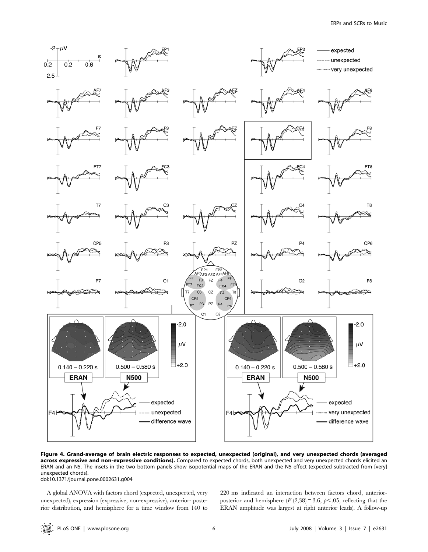

Figure 4. Grand-average of brain electric responses to expected, unexpected (original), and very unexpected chords (averaged across expressive and non-expressive conditions). Compared to expected chords, both unexpected and very unexpected chords elicited an ERAN and an N5. The insets in the two bottom panels show isopotential maps of the ERAN and the N5 effect (expected subtracted from [very] unexpected chords). doi:10.1371/journal.pone.0002631.g004

A global ANOVA with factors chord (expected, unexpected, very unexpected), expression (expressive, non-expressive), anterior- posterior distribution, and hemisphere for a time window from 140 to 220 ms indicated an interaction between factors chord, anteriorposterior and hemisphere  $(F(2,38) = 3.6, p<.05,$  reflecting that the ERAN amplitude was largest at right anterior leads). A follow-up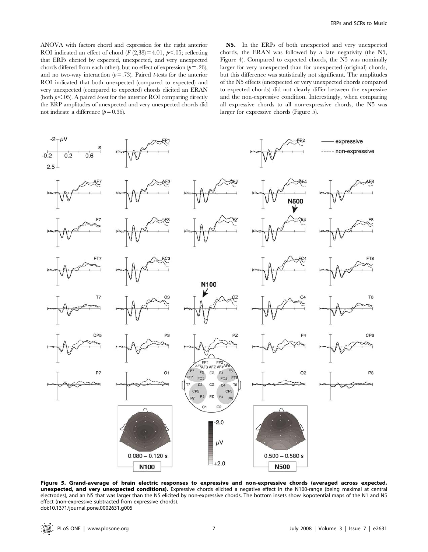ANOVA with factors chord and expression for the right anterior ROI indicated an effect of chord  $(F(2,38) = 4.01, p<0.05;$  reflecting that ERPs elicited by expected, unexpected, and very unexpected chords differed from each other), but no effect of expression  $(p=.26)$ , and no two-way interaction ( $p = .73$ ). Paired *t*-tests for the anterior ROI indicated that both unexpected (compared to expected) and very unexpected (compared to expected) chords elicited an ERAN (both  $p<.05$ ). A paired t-test for the anterior ROI comparing directly the ERP amplitudes of unexpected and very unexpected chords did not indicate a difference  $(p = 0.36)$ .

N5. In the ERPs of both unexpected and very unexpected chords, the ERAN was followed by a late negativity (the N5, Figure 4). Compared to expected chords, the N5 was nominally larger for very unexpected than for unexpected (original) chords, but this difference was statistically not significant. The amplitudes of the N5 effects (unexpected or very unexpected chords compared to expected chords) did not clearly differ between the expressive and the non-expressive condition. Interestingly, when comparing all expressive chords to all non-expressive chords, the N5 was larger for expressive chords (Figure 5).



Figure 5. Grand-average of brain electric responses to expressive and non-expressive chords (averaged across expected, unexpected, and very unexpected conditions). Expressive chords elicited a negative effect in the N100-range (being maximal at central electrodes), and an N5 that was larger than the N5 elicited by non-expressive chords. The bottom insets show isopotential maps of the N1 and N5 effect (non-expressive subtracted from expressive chords). doi:10.1371/journal.pone.0002631.g005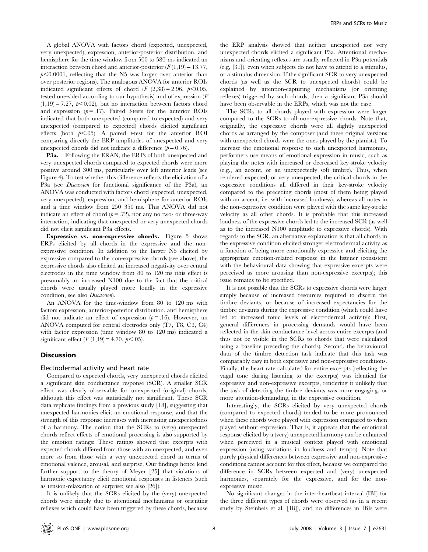A global ANOVA with factors chord (expected, unexpected, very unexpected), expression, anterior-posterior distribution, and hemisphere for the time window from 500 to 580 ms indicated an interaction between chord and anterior-posterior  $(F(1,19) = 13.77)$ ,  $p<0.0001$ , reflecting that the N5 was larger over anterior than over posterior regions). The analogous ANOVA for anterior ROIs indicated significant effects of chord (F  $(2,38) = 2.96, p < 0.05,$ tested one-sided according to our hypothesis) and of expression (F  $(1,19) = 7.27$ ,  $p<0.02$ ), but no interaction between factors chord and expression  $(p= .17)$ . Paired *t*-tests for the anterior ROIs indicated that both unexpected (compared to expected) and very unexpected (compared to expected) chords elicited significant effects (both  $p<.05$ ). A paired t-test for the anterior ROI comparing directly the ERP amplitudes of unexpected and very unexpected chords did not indicate a difference  $(p= 0.76)$ .

P3a. Following the ERAN, the ERPs of both unexpected and very unexpected chords compared to expected chords were more positive around 300 ms, particularly over left anterior leads (see Figure 4). To test whether this difference reflects the elicitation of a P3a (see Discussion for functional significance of the P3a), an ANOVA was conducted with factors chord (expected, unexpected, very unexpected), expression, and hemisphere for anterior ROIs and a time window from 250–350 ms. This ANOVA did not indicate an effect of chord  $(p = .72)$ , nor any no two- or three-way interaction, indicating that unexpected or very unexpected chords did not elicit significant P3a effects.

Expressive vs. non-expressive chords. Figure 5 shows ERPs elicited by all chords in the expressive and the nonexpressive condition. In addition to the larger N5 elicited by expressive compared to the non-expressive chords (see above), the expressive chords also elicited an increased negativity over central electrodes in the time window from 80 to 120 ms (this effect is presumably an increased N100 due to the fact that the critical chords were usually played more loudly in the expressive condition, see also Discussion).

An ANOVA for the time-window from 80 to 120 ms with factors expression, anterior-posterior distribution, and hemisphere did not indicate an effect of expression  $(p=16)$ . However, an ANOVA computed for central electrodes only (T7, T8, C3, C4) with factor expression (time window 80 to 120 ms) indicated a significant effect  $(F(1,19) = 4.70, p<.05)$ .

# Discussion

# Electrodermal activity and heart rate

Compared to expected chords, very unexpected chords elicited a significant skin conductance response (SCR). A smaller SCR effect was clearly observable for unexpected (original) chords, although this effect was statistically not significant. These SCR data replicate findings from a previous study [18], suggesting that unexpected harmonies elicit an emotional response, and that the strength of this response increases with increasing unexpectedness of a harmony. The notion that the SCRs to (very) unexpected chords reflect effects of emotional processing is also supported by the emotion ratings: These ratings showed that excerpts with expected chords differed from those with an unexpected, and even more so from those with a very unexpected chord in terms of emotional valence, arousal, and surprise. Our findings hence lend further support to the theory of Meyer [25] that violations of harmonic expectancy elicit emotional responses in listeners (such as tension-relaxation or surprise; see also [26]).

It is unlikely that the SCRs elicited by the (very) unexpected chords were simply due to attentional mechanisms or orienting reflexes which could have been triggered by these chords, because

the ERP analysis showed that neither unexpected nor very unexpected chords elicited a significant P3a. Attentional mechanisms and orienting reflexes are usually reflected in P3a potentials (e.g, [31]), even when subjects do not have to attend to a stimulus, or a stimulus dimension. If the significant SCR to very unexpected chords (as well as the SCR to unexpected chords) could be explained by attention-capturing mechanisms (or orienting reflexes) triggered by such chords, then a significant P3a should have been observable in the ERPs, which was not the case.

The SCRs to all chords played with expression were larger compared to the SCRs to all non-expressive chords. Note that, originally, the expressive chords were all slightly unexpected chords as arranged by the composer (and these original versions with unexpected chords were the ones played by the pianists). To increase the emotional response to such unexpected harmonies, performers use means of emotional expression in music, such as playing the notes with increased or decreased key-stroke velocity (e.g., an accent, or an unexpectedly soft timbre). Thus, when rendered expected, or very unexpected, the critical chords in the expressive conditions all differed in their key-stroke velocity compared to the preceding chords (most of them being played with an accent, i.e. with increased loudness), whereas all notes in the non-expressive condition were played with the same key-stroke velocity as all other chords. It is probable that this increased loudness of the expressive chords led to the increased SCR (as well as to the increased N100 amplitude to expressive chords). With regards to the SCR, an alternative explanation is that all chords in the expressive condition elicited stronger electrodermal activity as a function of being more emotionally expressive and eliciting the appropriate emotion-related response in the listener (consistent with the behavioural data showing that expressive excerpts were perceived as more arousing than non-expressive excerpts); this issue remains to be specified.

It is not possible that the SCRs to expressive chords were larger simply because of increased resources required to discern the timbre deviants, or because of increased expectancies for the timbre deviants during the expressive condition (which could have led to increased tonic levels of electrodermal activity): First, general differences in processing demands would have been reflected in the skin conductance level across entire excerpts (and thus not be visible in the SCRs to chords that were calculated using a baseline preceding the chords). Second, the behavioural data of the timbre detection task indicate that this task was comparably easy in both expressive and non-expressive conditions. Finally, the heart rate calculated for entire excerpts (reflecting the vagal tone during listening to the excerpts) was identical for expressive and non-expressive excerpts, rendering it unlikely that the task of detecting the timbre deviants was more engaging, or more attention-demanding, in the expressive condition.

Interestingly, the SCRs elicited by very unexpected chords (compared to expected chords) tended to be more pronounced when these chords were played with expression compared to when played without expression. That is, it appears that the emotional response elicited by a (very) unexpected harmony can be enhanced when perceived in a musical context played with emotional expression (using variations in loudness and tempo). Note that purely physical differences between expressive and non-expressive conditions cannot account for this effect, because we compared the difference in SCRs between expected and (very) unexpected harmonies, separately for the expressive, and for the nonexpressive music.

No significant changes in the inter-heartbeat interval (IBI) for the three different types of chords were observed (as in a recent study by Steinbeis et al. [18]), and no differences in IBIs were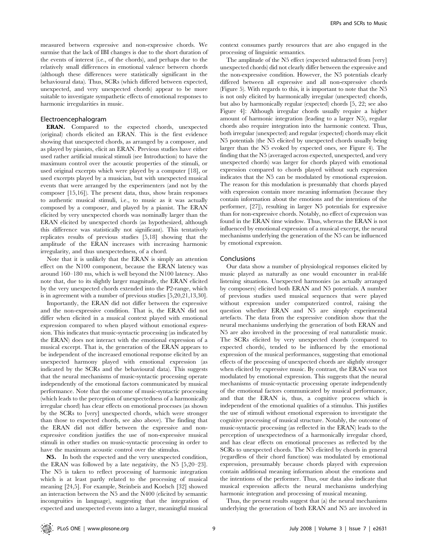measured between expressive and non-expressive chords. We surmise that the lack of IBI changes is due to the short duration of the events of interest (i.e., of the chords), and perhaps due to the relatively small differences in emotional valence between chords (although these differences were statistically significant in the behavioural data). Thus, SCRs (which differed between expected, unexpected, and very unexpected chords) appear to be more suitable to investigate sympathetic effects of emotional responses to harmonic irregularities in music.

## Electroencephalogram

ERAN. Compared to the expected chords, unexpected (original) chords elicited an ERAN. This is the first evidence showing that unexpected chords, as arranged by a composer, and as played by pianists, elicit an ERAN. Previous studies have either used rather artificial musical stimuli (see Introduction) to have the maximum control over the acoustic properties of the stimuli, or used original excerpts which were played by a computer [18], or used excerpts played by a musician, but with unexpected musical events that were arranged by the experimenters (and not by the composer [15,16]). The present data, thus, show brain responses to authentic musical stimuli, i.e., to music as it was actually composed by a composer, and played by a pianist. The ERAN elicited by very unexpected chords was nominally larger than the ERAN elicited by unexpected chords (as hypothesized, although this difference was statistically not significant). This tentatively replicates results of previous studies [5,18] showing that the amplitude of the ERAN increases with increasing harmonic irregularity, and thus unexpectedness, of a chord.

Note that it is unlikely that the ERAN is simply an attention effect on the N100 component, because the ERAN latency was around 160–180 ms, which is well beyond the N100 latency. Also note that, due to its slightly larger magnitude, the ERAN elicited by the very unexpected chords extended into the P2-range, which is in agreement with a number of previous studies [5,20,21,13,30].

Importantly, the ERAN did not differ between the expressive and the non-expressive condition. That is, the ERAN did not differ when elicited in a musical context played with emotional expression compared to when played without emotional expression. This indicates that music-syntactic processing (as indicated by the ERAN) does not interact with the emotional expression of a musical excerpt. That is, the generation of the ERAN appears to be independent of the increased emotional response elicited by an unexpected harmony played with emotional expression (as indicated by the SCRs and the behavioural data). This suggests that the neural mechanisms of music-syntactic processing operate independently of the emotional factors communicated by musical performance. Note that the outcome of music-syntactic processing (which leads to the perception of unexpectedness of a harmonically irregular chord) has clear effects on emotional processes (as shown by the SCRs to [very] unexpected chords, which were stronger than those to expected chords, see also above). The finding that the ERAN did not differ between the expressive and nonexpressive condition justifies the use of non-expressive musical stimuli in other studies on music-syntactic processing in order to have the maximum acoustic control over the stimulus.

N5. In both the expected and the very unexpected condition, the ERAN was followed by a late negativity, the N5 [5,20–23]. The N5 is taken to reflect processing of harmonic integration which is at least partly related to the processing of musical meaning [24,5]. For example, Steinbeis and Koelsch [32] showed an interaction between the N5 and the N400 (elicited by semantic incongruities in language), suggesting that the integration of expected and unexpected events into a larger, meaningful musical context consumes partly resources that are also engaged in the processing of linguistic semantics.

The amplitude of the N5 effect (expected subtracted from [very] unexpected chords) did not clearly differ between the expressive and the non-expressive condition. However, the N5 potentials clearly differed between all expressive and all non-expressive chords (Figure 5). With regards to this, it is important to note that the N5 is not only elicited by harmonically irregular (unexpected) chords, but also by harmonically regular (expected) chords [5, 22; see also Figure 4]: Although irregular chords usually require a higher amount of harmonic integration (leading to a larger N5), regular chords also require integration into the harmonic context. Thus, both irregular (unexpected) and regular (expected) chords may elicit N5 potentials (the N5 elicited by unexpected chords usually being larger than the N5 evoked by expected ones, see Figure 4). The finding that the N5 (averaged across expected, unexpected, and very unexpected chords) was larger for chords played with emotional expression compared to chords played without such expression indicates that the N5 can be modulated by emotional expression. The reason for this modulation is presumably that chords played with expression contain more meaning information (because they contain information about the emotions and the intentions of the performer, [27]), resulting in larger N5 potentials for expressive than for non-expressive chords. Notably, no effect of expression was found in the ERAN time window. Thus, whereas the ERAN is not influenced by emotional expression of a musical excerpt, the neural mechanisms underlying the generation of the N5 can be influenced by emotional expression.

#### Conclusions

Our data show a number of physiological responses elicited by music played as naturally as one would encounter in real-life listening situations. Unexpected harmonies (as actually arranged by composers) elicited both ERAN and N5 potentials. A number of previous studies used musical sequences that were played without expression under computerized control, raising the question whether ERAN and N5 are simply experimental artefacts. The data from the expressive condition show that the neural mechanisms underlying the generation of both ERAN and N5 are also involved in the processing of real naturalistic music. The SCRs elicited by very unexpected chords (compared to expected chords), tended to be influenced by the emotional expression of the musical performances, suggesting that emotional effects of the processing of unexpected chords are slightly stronger when elicited by expressive music. By contrast, the ERAN was not modulated by emotional expression. This suggests that the neural mechanisms of music-syntactic processing operate independently of the emotional factors communicated by musical performance, and that the ERAN is, thus, a cognitive process which is independent of the emotional qualities of a stimulus. This justifies the use of stimuli without emotional expression to investigate the cognitive processing of musical structure. Notably, the outcome of music-syntactic processing (as reflected in the ERAN) leads to the perception of unexpectedness of a harmonically irregular chord, and has clear effects on emotional processes as reflected by the SCRs to unexpected chords. The N5 elicited by chords in general (regardless of their chord function) was modulated by emotional expression, presumably because chords played with expression contain additional meaning information about the emotions and the intentions of the performer. Thus, our data also indicate that musical expression affects the neural mechanisms underlying harmonic integration and processing of musical meaning.

Thus, the present results suggest that (a) the neural mechanisms underlying the generation of both ERAN and N5 are involved in